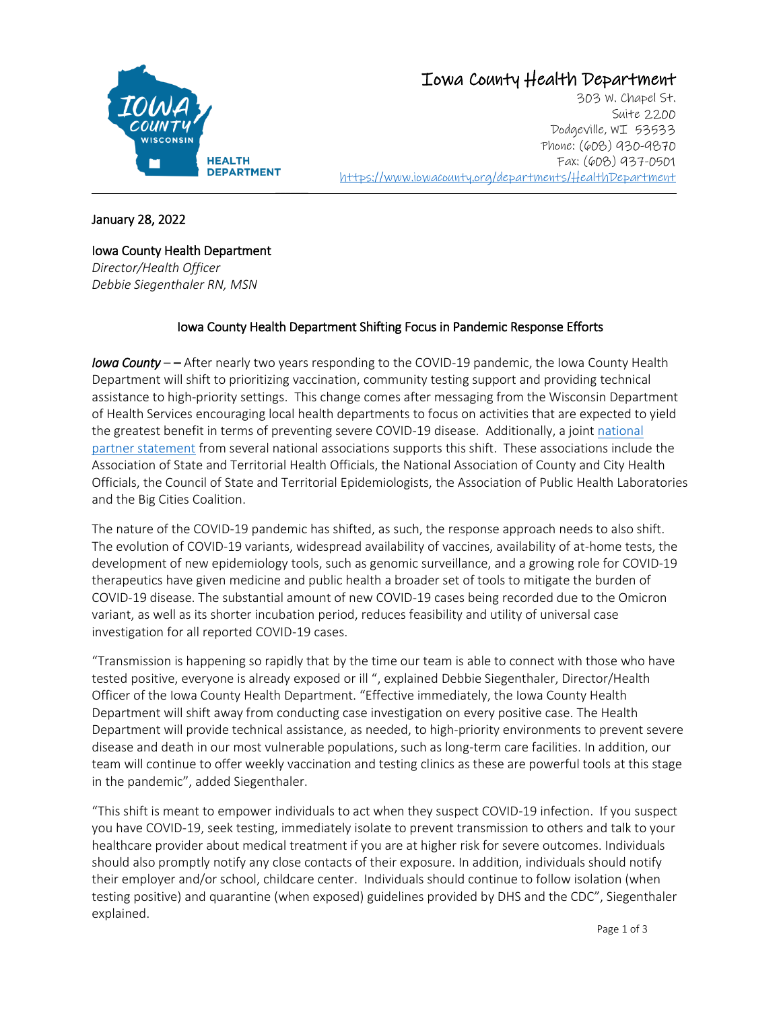

# Iowa County Health Department

 $\mathcal{L}_\text{max}$  and the contribution of the contribution of the contribution of the contribution of the contribution of the contribution of the contribution of the contribution of the contribution of the contribution of the 303 W. Chapel St. Suite 2200 Dodgeville, WI 53533 Phone: (608) 930-9870 Fax: (608) 937-0501 <https://www.iowacounty.org/departments/HealthDepartment>

January 28, 2022

Iowa County Health Department

*Director/Health Officer Debbie Siegenthaler RN, MSN*

# Iowa County Health Department Shifting Focus in Pandemic Response Efforts

*Iowa County* – – After nearly two years responding to the COVID-19 pandemic, the Iowa County Health Department will shift to prioritizing vaccination, community testing support and providing technical assistance to high-priority settings. This change comes after messaging from the Wisconsin Department of Health Services encouraging local health departments to focus on activities that are expected to yield the greatest benefit in terms of preventing severe COVID-19 disease. Additionally, a join[t national](https://preparedness.cste.org/?page_id=136)  [partner statement](https://preparedness.cste.org/?page_id=136) from several national associations supports this shift. These associations include the Association of State and Territorial Health Officials, the National Association of County and City Health Officials, the Council of State and Territorial Epidemiologists, the Association of Public Health Laboratories and the Big Cities Coalition.

The nature of the COVID-19 pandemic has shifted, as such, the response approach needs to also shift. The evolution of COVID-19 variants, widespread availability of vaccines, availability of at-home tests, the development of new epidemiology tools, such as genomic surveillance, and a growing role for COVID-19 therapeutics have given medicine and public health a broader set of tools to mitigate the burden of COVID-19 disease. The substantial amount of new COVID-19 cases being recorded due to the Omicron variant, as well as its shorter incubation period, reduces feasibility and utility of universal case investigation for all reported COVID-19 cases.

"Transmission is happening so rapidly that by the time our team is able to connect with those who have tested positive, everyone is already exposed or ill ", explained Debbie Siegenthaler, Director/Health Officer of the Iowa County Health Department. "Effective immediately, the Iowa County Health Department will shift away from conducting case investigation on every positive case. The Health Department will provide technical assistance, as needed, to high-priority environments to prevent severe disease and death in our most vulnerable populations, such as long-term care facilities. In addition, our team will continue to offer weekly vaccination and testing clinics as these are powerful tools at this stage in the pandemic", added Siegenthaler.

"This shift is meant to empower individuals to act when they suspect COVID-19 infection. If you suspect you have COVID-19, seek testing, immediately isolate to prevent transmission to others and talk to your healthcare provider about medical treatment if you are at higher risk for severe outcomes. Individuals should also promptly notify any close contacts of their exposure. In addition, individuals should notify their employer and/or school, childcare center. Individuals should continue to follow isolation (when testing positive) and quarantine (when exposed) guidelines provided by DHS and the CDC", Siegenthaler explained.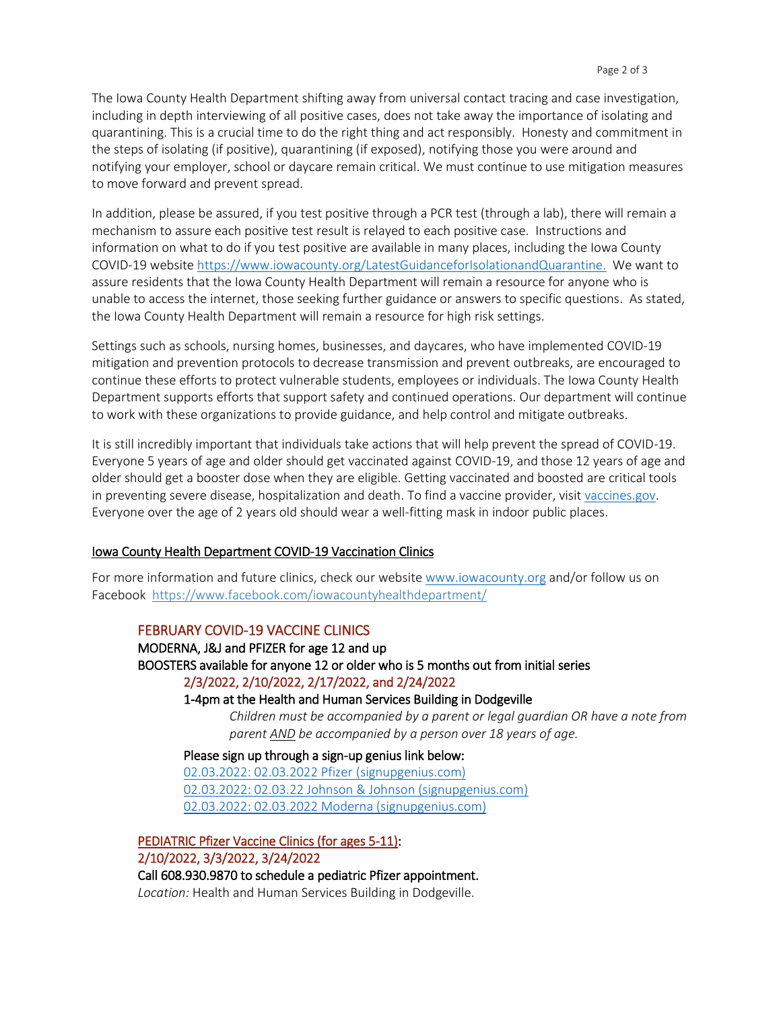The Iowa County Health Department shifting away from universal contact tracing and case investigation, including in depth interviewing of all positive cases, does not take away the importance of isolating and quarantining. This is a crucial time to do the right thing and act responsibly. Honesty and commitment in the steps of isolating (if positive), quarantining (if exposed), notifying those you were around and notifying your employer, school or daycare remain critical. We must continue to use mitigation measures to move forward and prevent spread.

In addition, please be assured, if you test positive through a PCR test (through a lab), there will remain a mechanism to assure each positive test result is relayed to each positive case. Instructions and information on what to do if you test positive are available in many places, including the Iowa County COVID-19 websit[e https://www.iowacounty.org/LatestGuidanceforIsolationandQuarantine.](https://www.iowacounty.org/LatestGuidanceforIsolationandQuarantine) We want to assure residents that the Iowa County Health Department will remain a resource for anyone who is unable to access the internet, those seeking further guidance or answers to specific questions. As stated, the Iowa County Health Department will remain a resource for high risk settings.

Settings such as schools, nursing homes, businesses, and daycares, who have implemented COVID-19 mitigation and prevention protocols to decrease transmission and prevent outbreaks, are encouraged to continue these efforts to protect vulnerable students, employees or individuals. The Iowa County Health Department supports efforts that support safety and continued operations. Our department will continue to work with these organizations to provide guidance, and help control and mitigate outbreaks.

It is still incredibly important that individuals take actions that will help prevent the spread of COVID-19. Everyone 5 years of age and older should get vaccinated against COVID-19, and those 12 years of age and older should get a booster dose when they are eligible. Getting vaccinated and boosted are critical tools in preventing severe disease, hospitalization and death. To find a vaccine provider, visit [vaccines.gov.](file://///file/ActiveDirectory/Green%20County/Health%20Dept/Shared/GCPH%20LETTERHEAD/vaccines.gov) Everyone over the age of 2 years old should wear a well-fitting mask in indoor public places.

#### Iowa County Health Department COVID-19 Vaccination Clinics

For more information and future clinics, check our website [www.iowacounty.org](http://www.iowacounty.org/) and/or follow us on Facebook <https://www.facebook.com/iowacountyhealthdepartment/>

#### FEBRUARY COVID-19 VACCINE CLINICS

MODERNA, J&J and PFIZER for age 12 and up BOOSTERS available for anyone 12 or older who is 5 months out from initial series 2/3/2022, 2/10/2022, 2/17/2022, and 2/24/2022

#### 1-4pm at the Health and Human Services Building in Dodgeville

*Children must be accompanied by a parent or legal guardian OR have a note from parent AND be accompanied by a person over 18 years of age.*

Please sign up through a sign-up genius link below: [02.03.2022: 02.03.2022 Pfizer](https://www.signupgenius.com/go/02032022pfizer) (signupgenius.com) [02.03.2022: 02.03.22 Johnson & Johnson \(signupgenius.com\)](https://www.signupgenius.com/go/02032022johnsonjohnson) [02.03.2022: 02.03.2022 Moderna \(signupgenius.com\)](https://www.signupgenius.com/go/02032022moderna)

PEDIATRIC Pfizer Vaccine Clinics (for ages 5-11):

2/10/2022, 3/3/2022, 3/24/2022

Call 608.930.9870 to schedule a pediatric Pfizer appointment.

*Location:* Health and Human Services Building in Dodgeville.